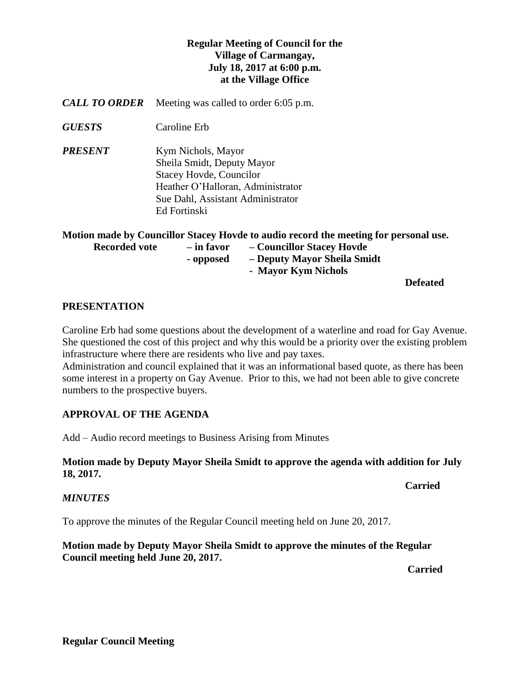# **Regular Meeting of Council for the Village of Carmangay, July 18, 2017 at 6:00 p.m. at the Village Office**

- *CALL TO ORDER* Meeting was called to order 6:05 p.m.
- *GUESTS* Caroline Erb

*PRESENT* Kym Nichols, Mayor Sheila Smidt, Deputy Mayor Stacey Hovde, Councilor Heather O'Halloran, Administrator Sue Dahl, Assistant Administrator Ed Fortinski

| Motion made by Councillor Stacey Hovde to audio record the meeting for personal use. |            |                             |                 |
|--------------------------------------------------------------------------------------|------------|-----------------------------|-----------------|
| <b>Recorded vote</b>                                                                 | – in favor | - Councillor Stacey Hovde   |                 |
|                                                                                      | - opposed  | - Deputy Mayor Sheila Smidt |                 |
|                                                                                      |            | - Mayor Kym Nichols         |                 |
|                                                                                      |            |                             | <b>Defeated</b> |

#### **PRESENTATION**

Caroline Erb had some questions about the development of a waterline and road for Gay Avenue. She questioned the cost of this project and why this would be a priority over the existing problem infrastructure where there are residents who live and pay taxes.

Administration and council explained that it was an informational based quote, as there has been some interest in a property on Gay Avenue. Prior to this, we had not been able to give concrete numbers to the prospective buyers.

# **APPROVAL OF THE AGENDA**

Add – Audio record meetings to Business Arising from Minutes

### **Motion made by Deputy Mayor Sheila Smidt to approve the agenda with addition for July 18, 2017.**

# *MINUTES*

To approve the minutes of the Regular Council meeting held on June 20, 2017.

### **Motion made by Deputy Mayor Sheila Smidt to approve the minutes of the Regular Council meeting held June 20, 2017.**

*Carried* 

**Carried**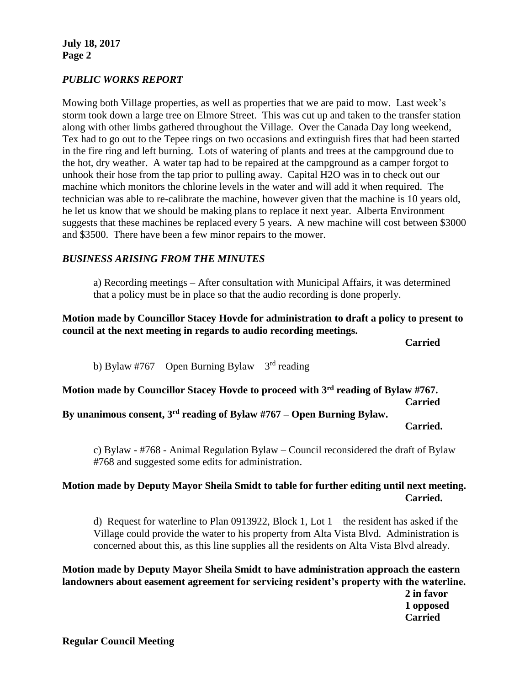**July 18, 2017 Page 2**

#### *PUBLIC WORKS REPORT*

Mowing both Village properties, as well as properties that we are paid to mow. Last week's storm took down a large tree on Elmore Street. This was cut up and taken to the transfer station along with other limbs gathered throughout the Village. Over the Canada Day long weekend, Tex had to go out to the Tepee rings on two occasions and extinguish fires that had been started in the fire ring and left burning. Lots of watering of plants and trees at the campground due to the hot, dry weather. A water tap had to be repaired at the campground as a camper forgot to unhook their hose from the tap prior to pulling away. Capital H2O was in to check out our machine which monitors the chlorine levels in the water and will add it when required. The technician was able to re-calibrate the machine, however given that the machine is 10 years old, he let us know that we should be making plans to replace it next year. Alberta Environment suggests that these machines be replaced every 5 years. A new machine will cost between \$3000 and \$3500. There have been a few minor repairs to the mower.

#### *BUSINESS ARISING FROM THE MINUTES*

a) Recording meetings – After consultation with Municipal Affairs, it was determined that a policy must be in place so that the audio recording is done properly.

**Motion made by Councillor Stacey Hovde for administration to draft a policy to present to council at the next meeting in regards to audio recording meetings.**

**Carried**

b) Bylaw #767 – Open Burning Bylaw –  $3<sup>rd</sup>$  reading

**Motion made by Councillor Stacey Hovde to proceed with 3rd reading of Bylaw #767. Carried**

**By unanimous consent, 3rd reading of Bylaw #767 – Open Burning Bylaw.**

**Carried.**

c) Bylaw - #768 - Animal Regulation Bylaw – Council reconsidered the draft of Bylaw #768 and suggested some edits for administration.

# **Motion made by Deputy Mayor Sheila Smidt to table for further editing until next meeting. Carried.**

d) Request for waterline to Plan 0913922, Block 1, Lot 1 – the resident has asked if the Village could provide the water to his property from Alta Vista Blvd. Administration is concerned about this, as this line supplies all the residents on Alta Vista Blvd already.

**Motion made by Deputy Mayor Sheila Smidt to have administration approach the eastern landowners about easement agreement for servicing resident's property with the waterline.**

**2 in favor 1 opposed Carried**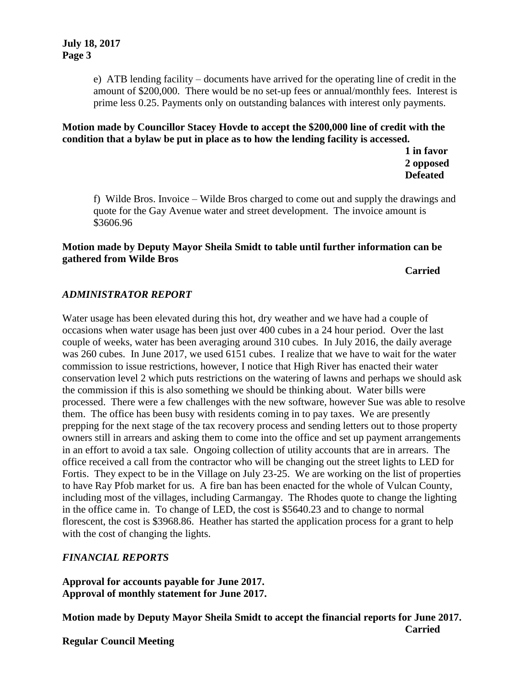e) ATB lending facility – documents have arrived for the operating line of credit in the amount of \$200,000. There would be no set-up fees or annual/monthly fees. Interest is prime less 0.25. Payments only on outstanding balances with interest only payments.

**Motion made by Councillor Stacey Hovde to accept the \$200,000 line of credit with the condition that a bylaw be put in place as to how the lending facility is accessed.**

> **1 in favor 2 opposed Defeated**

f) Wilde Bros. Invoice – Wilde Bros charged to come out and supply the drawings and quote for the Gay Avenue water and street development. The invoice amount is \$3606.96

### **Motion made by Deputy Mayor Sheila Smidt to table until further information can be gathered from Wilde Bros**

#### **Carried**

# *ADMINISTRATOR REPORT*

Water usage has been elevated during this hot, dry weather and we have had a couple of occasions when water usage has been just over 400 cubes in a 24 hour period. Over the last couple of weeks, water has been averaging around 310 cubes. In July 2016, the daily average was 260 cubes. In June 2017, we used 6151 cubes. I realize that we have to wait for the water commission to issue restrictions, however, I notice that High River has enacted their water conservation level 2 which puts restrictions on the watering of lawns and perhaps we should ask the commission if this is also something we should be thinking about. Water bills were processed. There were a few challenges with the new software, however Sue was able to resolve them. The office has been busy with residents coming in to pay taxes. We are presently prepping for the next stage of the tax recovery process and sending letters out to those property owners still in arrears and asking them to come into the office and set up payment arrangements in an effort to avoid a tax sale. Ongoing collection of utility accounts that are in arrears. The office received a call from the contractor who will be changing out the street lights to LED for Fortis. They expect to be in the Village on July 23-25. We are working on the list of properties to have Ray Pfob market for us. A fire ban has been enacted for the whole of Vulcan County, including most of the villages, including Carmangay. The Rhodes quote to change the lighting in the office came in. To change of LED, the cost is \$5640.23 and to change to normal florescent, the cost is \$3968.86. Heather has started the application process for a grant to help with the cost of changing the lights.

# *FINANCIAL REPORTS*

**Approval for accounts payable for June 2017. Approval of monthly statement for June 2017.**

**Motion made by Deputy Mayor Sheila Smidt to accept the financial reports for June 2017. Carried**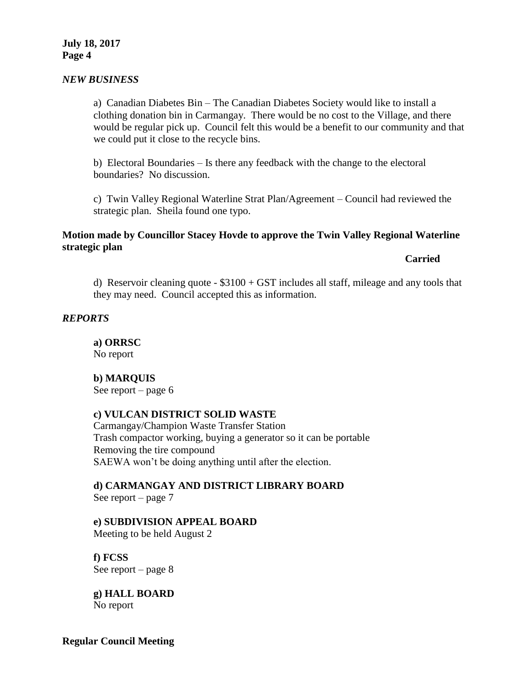#### *NEW BUSINESS*

a) Canadian Diabetes Bin – The Canadian Diabetes Society would like to install a clothing donation bin in Carmangay. There would be no cost to the Village, and there would be regular pick up. Council felt this would be a benefit to our community and that we could put it close to the recycle bins.

b) Electoral Boundaries – Is there any feedback with the change to the electoral boundaries? No discussion.

c) Twin Valley Regional Waterline Strat Plan/Agreement – Council had reviewed the strategic plan. Sheila found one typo.

### **Motion made by Councillor Stacey Hovde to approve the Twin Valley Regional Waterline strategic plan**

**Carried**

d) Reservoir cleaning quote  $-$  \$3100 + GST includes all staff, mileage and any tools that they may need. Council accepted this as information.

#### *REPORTS*

**a) ORRSC** No report

#### **b) MARQUIS**

See report – page 6

#### **c) VULCAN DISTRICT SOLID WASTE**

Carmangay/Champion Waste Transfer Station Trash compactor working, buying a generator so it can be portable Removing the tire compound SAEWA won't be doing anything until after the election.

# **d) CARMANGAY AND DISTRICT LIBRARY BOARD**

See report – page 7

#### **e) SUBDIVISION APPEAL BOARD**

Meeting to be held August 2

**f) FCSS**  See report – page 8

**g) HALL BOARD** No report